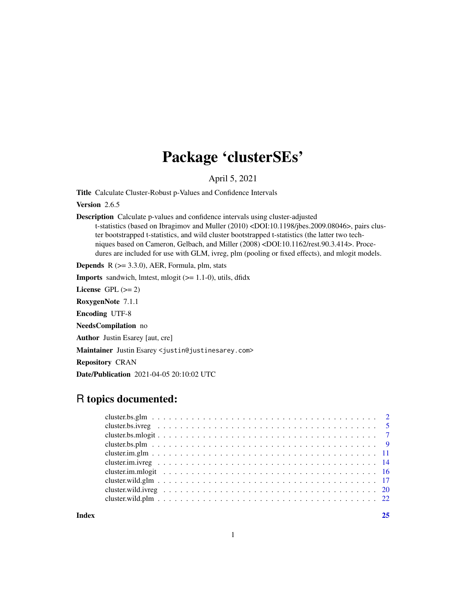## Package 'clusterSEs'

April 5, 2021

Title Calculate Cluster-Robust p-Values and Confidence Intervals

Version 2.6.5

Description Calculate p-values and confidence intervals using cluster-adjusted t-statistics (based on Ibragimov and Muller (2010) <DOI:10.1198/jbes.2009.08046>, pairs cluster bootstrapped t-statistics, and wild cluster bootstrapped t-statistics (the latter two techniques based on Cameron, Gelbach, and Miller (2008) <DOI:10.1162/rest.90.3.414>. Procedures are included for use with GLM, ivreg, plm (pooling or fixed effects), and mlogit models.

**Depends** R  $(>= 3.3.0)$ , AER, Formula, plm, stats

**Imports** sandwich, lmtest, mlogit  $(>= 1.1-0)$ , utils, dfidx

License GPL  $(>= 2)$ 

RoxygenNote 7.1.1

Encoding UTF-8

NeedsCompilation no

Author Justin Esarey [aut, cre]

Maintainer Justin Esarey <justin@justinesarey.com>

Repository CRAN

Date/Publication 2021-04-05 20:10:02 UTC

### R topics documented:

**Index** [25](#page-24-0)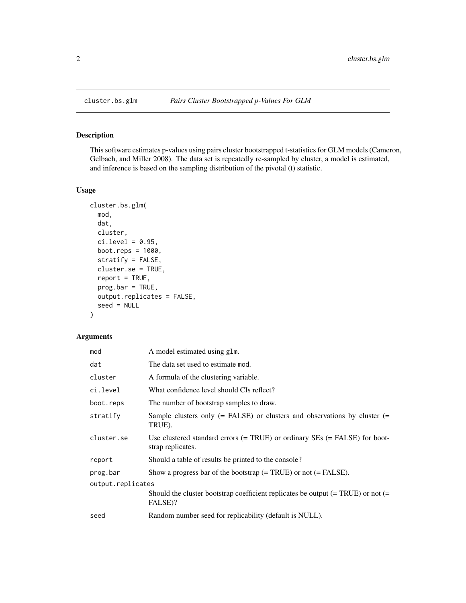<span id="page-1-0"></span>

#### Description

This software estimates p-values using pairs cluster bootstrapped t-statistics for GLM models (Cameron, Gelbach, and Miller 2008). The data set is repeatedly re-sampled by cluster, a model is estimated, and inference is based on the sampling distribution of the pivotal (t) statistic.

#### Usage

```
cluster.bs.glm(
 mod,
  dat,
  cluster,
  ci. level = 0.95,boot.reps = 1000,
  stratify = FALSE,
  cluster.se = TRUE,
  report = TRUE,progbar = TRUE,output.replicates = FALSE,
  seed = NULL
\mathcal{L}
```
#### Arguments

| A model estimated using glm.                                                                        |
|-----------------------------------------------------------------------------------------------------|
| The data set used to estimate mod.                                                                  |
| A formula of the clustering variable.                                                               |
| What confidence level should CIs reflect?                                                           |
| The number of bootstrap samples to draw.                                                            |
| Sample clusters only $(=$ FALSE) or clusters and observations by cluster $(=$<br>TRUE).             |
| Use clustered standard errors $(= TRUE)$ or ordinary SEs $(= FALSE)$ for boot-<br>strap replicates. |
| Should a table of results be printed to the console?                                                |
| Show a progress bar of the bootstrap $(= TRUE)$ or not $(= FALSE)$ .                                |
| output.replicates                                                                                   |
| Should the cluster bootstrap coefficient replicates be output $(= TRUE)$ or not $(=$<br>FALSE)?     |
| Random number seed for replicability (default is NULL).                                             |
|                                                                                                     |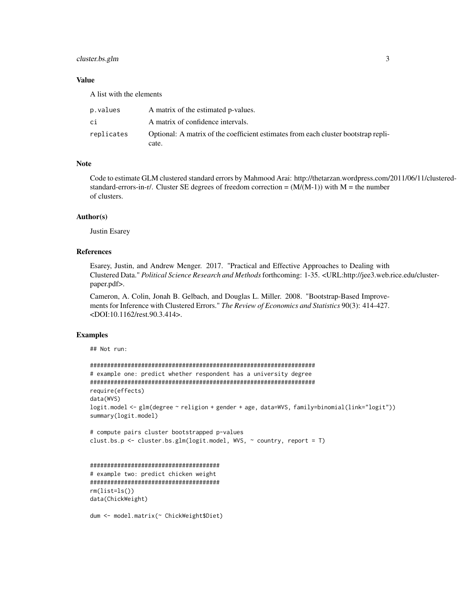#### cluster.bs.glm 3

#### Value

A list with the elements

| p.values   | A matrix of the estimated p-values.                                                         |
|------------|---------------------------------------------------------------------------------------------|
| сi         | A matrix of confidence intervals.                                                           |
| replicates | Optional: A matrix of the coefficient estimates from each cluster bootstrap repli-<br>cate. |

#### Note

Code to estimate GLM clustered standard errors by Mahmood Arai: http://thetarzan.wordpress.com/2011/06/11/clusteredstandard-errors-in-r/. Cluster SE degrees of freedom correction =  $(M/(M-1))$  with M = the number of clusters.

#### Author(s)

Justin Esarey

#### References

Esarey, Justin, and Andrew Menger. 2017. "Practical and Effective Approaches to Dealing with Clustered Data." *Political Science Research and Methods*forthcoming: 1-35. <URL:http://jee3.web.rice.edu/clusterpaper.pdf>.

Cameron, A. Colin, Jonah B. Gelbach, and Douglas L. Miller. 2008. "Bootstrap-Based Improvements for Inference with Clustered Errors." *The Review of Economics and Statistics* 90(3): 414-427. <DOI:10.1162/rest.90.3.414>.

#### Examples

```
## Not run:
```
rm(list=ls()) data(ChickWeight)

```
##################################################################
# example one: predict whether respondent has a university degree
##################################################################
require(effects)
data(WVS)
logit.model <- glm(degree ~ religion + gender + age, data=WVS, family=binomial(link="logit"))
summary(logit.model)
# compute pairs cluster bootstrapped p-values
clust.bs.p <- cluster.bs.glm(logit.model, WVS, ~ country, report = T)
######################################
# example two: predict chicken weight
######################################
```

```
dum <- model.matrix(~ ChickWeight$Diet)
```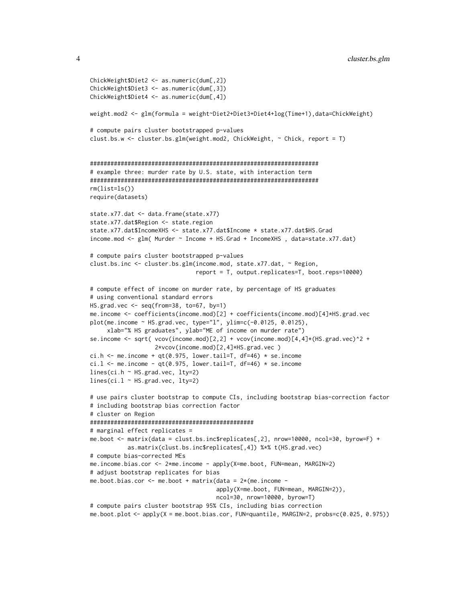```
ChickWeight$Diet2 <- as.numeric(dum[,2])
ChickWeight$Diet3 <- as.numeric(dum[,3])
ChickWeight$Diet4 <- as.numeric(dum[,4])
weight.mod2 <- glm(formula = weight~Diet2+Diet3+Diet4+log(Time+1),data=ChickWeight)
# compute pairs cluster bootstrapped p-values
clust.bs.w <- cluster.bs.glm(weight.mod2, ChickWeight, ~ Chick, report = T)
###################################################################
# example three: murder rate by U.S. state, with interaction term
###################################################################
rm(list=ls())
require(datasets)
state.x77.dat <- data.frame(state.x77)
state.x77.dat$Region <- state.region
state.x77.dat$IncomeXHS <- state.x77.dat$Income * state.x77.dat$HS.Grad
income.mod <- glm( Murder ~ Income + HS.Grad + IncomeXHS , data=state.x77.dat)
# compute pairs cluster bootstrapped p-values
clust.bs.inc <- cluster.bs.glm(income.mod, state.x77.dat, ~ Region,
                               report = T, output.replicates=T, boot.reps=10000)
# compute effect of income on murder rate, by percentage of HS graduates
# using conventional standard errors
HS.grad.vec <- seq(from=38, to=67, by=1)
me.income <- coefficients(income.mod)[2] + coefficients(income.mod)[4]*HS.grad.vec
plot(me.income ~ HS.grad.vec, type="l", ylim=c(-0.0125, 0.0125),
     xlab="% HS graduates", ylab="ME of income on murder rate")
se.income \leq sqrt( vcov(income.mod)[2,2] + vcov(income.mod)[4,4]*(HS.grad.vec)^2 +
                   2*vcov(income.mod)[2,4]*HS.grad.vec )
ci.h \leq me.income + qt(0.975, lower.tail=T, df=46) \star se.income
ci.l \leq me.income - qt(0.975, lower.tail=T, df=46) * se.income
lines(ci.h ~ HS.grad.vec, lty=2)
lines(ci.l ~ HS.grad.vec, lty=2)
# use pairs cluster bootstrap to compute CIs, including bootstrap bias-correction factor
# including bootstrap bias correction factor
# cluster on Region
################################################
# marginal effect replicates =
me.boot <- matrix(data = clust.bs.inc$replicates[,2], nrow=10000, ncol=30, byrow=F) +
           as.matrix(clust.bs.inc$replicates[,4]) %*% t(HS.grad.vec)
# compute bias-corrected MEs
me.income.bias.cor <- 2*me.income - apply(X=me.boot, FUN=mean, MARGIN=2)
# adjust bootstrap replicates for bias
me.boot.bias.cor \leq me.boot + matrix(data = 2*(me.income -apply(X=me.boot, FUN=mean, MARGIN=2)),
                                     ncol=30, nrow=10000, byrow=T)
# compute pairs cluster bootstrap 95% CIs, including bias correction
me.boot.plot <- apply(X = me.boot.bias.cor, FUN=quantile, MARGIN=2, probs=c(0.025, 0.975))
```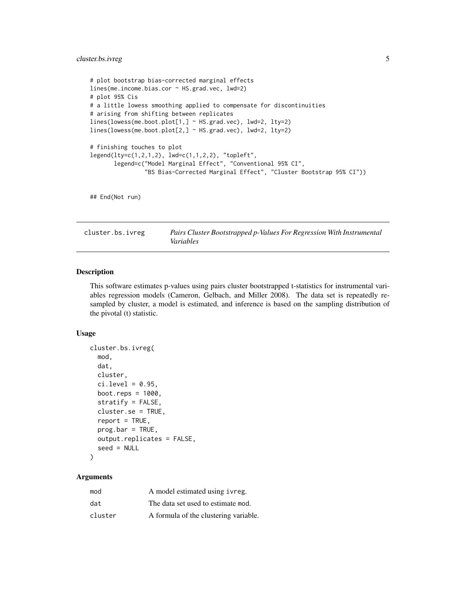#### <span id="page-4-0"></span>cluster.bs.ivreg 5

```
# plot bootstrap bias-corrected marginal effects
lines(me.income.bias.cor ~ HS.grad.vec, lwd=2)
# plot 95% Cis
# a little lowess smoothing applied to compensate for discontinuities
# arising from shifting between replicates
lines(lowess(me.boot.plot[1,] ~ HS.grad.vec), lwd=2, lty=2)
lines(lowess(me.boot.plot[2,] ~ HS.grad.vec), lwd=2, lty=2)
# finishing touches to plot
legend(lty=c(1,2,1,2), lwd=c(1,1,2,2), "topleft",
      legend=c("Model Marginal Effect", "Conventional 95% CI",
                "BS Bias-Corrected Marginal Effect", "Cluster Bootstrap 95% CI"))
```

```
## End(Not run)
```
cluster.bs.ivreg *Pairs Cluster Bootstrapped p-Values For Regression With Instrumental Variables*

#### Description

This software estimates p-values using pairs cluster bootstrapped t-statistics for instrumental variables regression models (Cameron, Gelbach, and Miller 2008). The data set is repeatedly resampled by cluster, a model is estimated, and inference is based on the sampling distribution of the pivotal (t) statistic.

#### Usage

```
cluster.bs.ivreg(
 mod,
  dat,
  cluster,
  ci. level = 0.95,boot.reps = 1000,
  stratify = FALSE,
  cluster.se = TRUE,
  report = TRUE,progbar = TRUE,output.replicates = FALSE,
  seed = NULL
\lambda
```
#### Arguments

| mod     | A model estimated using ivreg.        |
|---------|---------------------------------------|
| dat     | The data set used to estimate mod.    |
| cluster | A formula of the clustering variable. |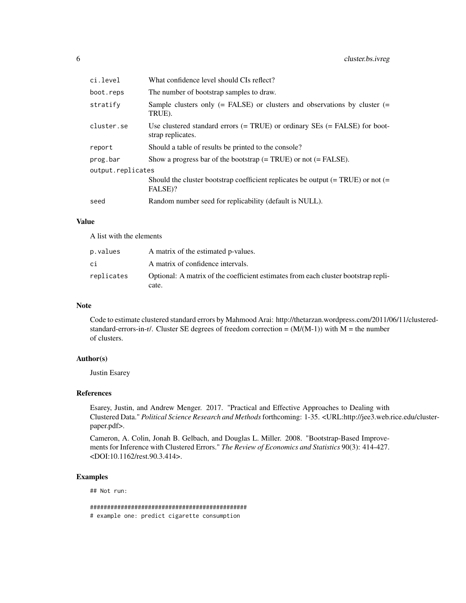| ci.level          | What confidence level should CIs reflect?                                                           |
|-------------------|-----------------------------------------------------------------------------------------------------|
| boot.reps         | The number of bootstrap samples to draw.                                                            |
| stratify          | Sample clusters only $(=$ FALSE) or clusters and observations by cluster $(=$<br>TRUE).             |
| cluster.se        | Use clustered standard errors $(= TRUE)$ or ordinary SEs $(= FALSE)$ for boot-<br>strap replicates. |
| report            | Should a table of results be printed to the console?                                                |
| prog.bar          | Show a progress bar of the bootstrap $(= TRUE)$ or not $(= FALSE)$ .                                |
| output.replicates |                                                                                                     |
|                   | Should the cluster bootstrap coefficient replicates be output $(= TRUE)$ or not $(=$<br>FALSE)?     |
| seed              | Random number seed for replicability (default is NULL).                                             |

#### Value

A list with the elements

| p.values   | A matrix of the estimated p-values.                                                         |
|------------|---------------------------------------------------------------------------------------------|
| сi         | A matrix of confidence intervals.                                                           |
| replicates | Optional: A matrix of the coefficient estimates from each cluster bootstrap repli-<br>cate. |

#### Note

Code to estimate clustered standard errors by Mahmood Arai: http://thetarzan.wordpress.com/2011/06/11/clusteredstandard-errors-in-r/. Cluster SE degrees of freedom correction =  $(M/(M-1))$  with M = the number of clusters.

#### Author(s)

Justin Esarey

#### References

Esarey, Justin, and Andrew Menger. 2017. "Practical and Effective Approaches to Dealing with Clustered Data." *Political Science Research and Methods*forthcoming: 1-35. <URL:http://jee3.web.rice.edu/clusterpaper.pdf>.

Cameron, A. Colin, Jonah B. Gelbach, and Douglas L. Miller. 2008. "Bootstrap-Based Improvements for Inference with Clustered Errors." *The Review of Economics and Statistics* 90(3): 414-427. <DOI:10.1162/rest.90.3.414>.

#### Examples

## Not run:

############################################## # example one: predict cigarette consumption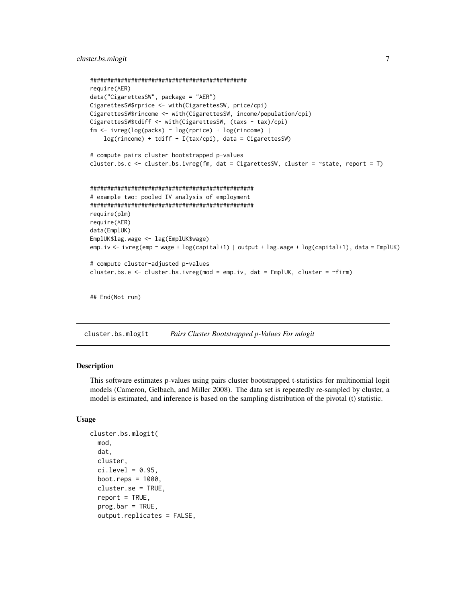```
##############################################
require(AER)
data("CigarettesSW", package = "AER")
CigarettesSW$rprice <- with(CigarettesSW, price/cpi)
CigarettesSW$rincome <- with(CigarettesSW, income/population/cpi)
CigarettesSW$tdiff <- with(CigarettesSW, (taxs - tax)/cpi)
fm \leq i \text{vreg}(\log(\text{packs}) \leq \log(\text{rprice}) + \log(\text{rincome})log(rincome) + tdiff + I(tax/cpi), data = CigarettesSW)
# compute pairs cluster bootstrapped p-values
cluster.bs.c <- cluster.bs.ivreg(fm, dat = CigarettesSW, cluster = ~state, report = T)
################################################
# example two: pooled IV analysis of employment
################################################
require(plm)
require(AER)
data(EmplUK)
EmplUK$lag.wage <- lag(EmplUK$wage)
emp.iv <- ivreg(emp ~ wage + log(capital+1) | output + lag.wage + log(capital+1), data = EmplUK)
# compute cluster-adjusted p-values
cluster.bs.e <- cluster.bs.ivreg(mod = emp.iv, dat = EmplUK, cluster = ~firm)
## End(Not run)
```
cluster.bs.mlogit *Pairs Cluster Bootstrapped p-Values For mlogit*

#### Description

This software estimates p-values using pairs cluster bootstrapped t-statistics for multinomial logit models (Cameron, Gelbach, and Miller 2008). The data set is repeatedly re-sampled by cluster, a model is estimated, and inference is based on the sampling distribution of the pivotal (t) statistic.

#### Usage

```
cluster.bs.mlogit(
  mod,
  dat,
  cluster,
  ci. level = 0.95.
  boot.reps = 1000,
  cluster.se = TRUE,
  report = TRUE,prog.bar = TRUE,
  output.replicates = FALSE,
```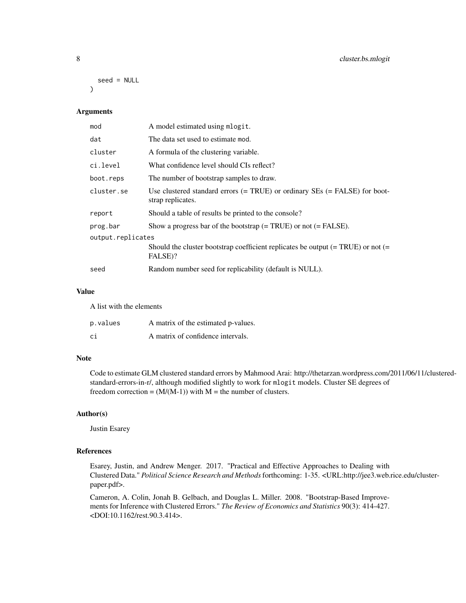```
seed = NULL
\lambda
```
#### Arguments

| A model estimated using mlogit.                                                                       |  |  |  |  |  |
|-------------------------------------------------------------------------------------------------------|--|--|--|--|--|
| The data set used to estimate mod.                                                                    |  |  |  |  |  |
| A formula of the clustering variable.                                                                 |  |  |  |  |  |
| What confidence level should CIs reflect?                                                             |  |  |  |  |  |
| The number of bootstrap samples to draw.                                                              |  |  |  |  |  |
| Use clustered standard errors $(= TRUE)$ or ordinary $SEs$ $(= FALSE)$ for boot-<br>strap replicates. |  |  |  |  |  |
| Should a table of results be printed to the console?                                                  |  |  |  |  |  |
| Show a progress bar of the bootstrap $(= TRUE)$ or not $(= FALSE)$ .                                  |  |  |  |  |  |
| output.replicates                                                                                     |  |  |  |  |  |
| Should the cluster bootstrap coefficient replicates be output $(= TRUE)$ or not $(=$<br>FALSE)?       |  |  |  |  |  |
| Random number seed for replicability (default is NULL).                                               |  |  |  |  |  |
|                                                                                                       |  |  |  |  |  |

#### Value

A list with the elements

| p.values | A matrix of the estimated p-values. |
|----------|-------------------------------------|
| ci       | A matrix of confidence intervals.   |

#### Note

Code to estimate GLM clustered standard errors by Mahmood Arai: http://thetarzan.wordpress.com/2011/06/11/clusteredstandard-errors-in-r/, although modified slightly to work for mlogit models. Cluster SE degrees of freedom correction =  $(M/(M-1))$  with M = the number of clusters.

#### Author(s)

Justin Esarey

#### References

Esarey, Justin, and Andrew Menger. 2017. "Practical and Effective Approaches to Dealing with Clustered Data." *Political Science Research and Methods*forthcoming: 1-35. <URL:http://jee3.web.rice.edu/clusterpaper.pdf>.

Cameron, A. Colin, Jonah B. Gelbach, and Douglas L. Miller. 2008. "Bootstrap-Based Improvements for Inference with Clustered Errors." *The Review of Economics and Statistics* 90(3): 414-427. <DOI:10.1162/rest.90.3.414>.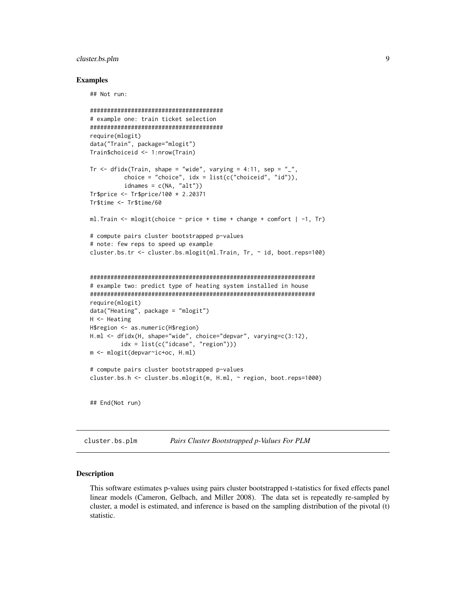#### <span id="page-8-0"></span>cluster.bs.plm 9

#### Examples

## Not run:

```
#######################################
# example one: train ticket selection
#######################################
require(mlogit)
data("Train", package="mlogit")
Train$choiceid <- 1:nrow(Train)
Tr \le dfidx(Train, shape = "wide", varying = 4:11, sep = "_",
          choice = "choice", idx = list(c("choiceid", "id")),
          idnames = c(NA, "alt")Tr$price <- Tr$price/100 * 2.20371
Tr$time <- Tr$time/60
ml. Train \leq mlogit(choice \sim price + time + change + comfort | -1, Tr)
# compute pairs cluster bootstrapped p-values
# note: few reps to speed up example
cluster.bs.tr <- cluster.bs.mlogit(ml.Train, Tr, ~ id, boot.reps=100)
##################################################################
# example two: predict type of heating system installed in house
##################################################################
require(mlogit)
data("Heating", package = "mlogit")
H <- Heating
H$region <- as.numeric(H$region)
H.ml <- dfidx(H, shape="wide", choice="depvar", varying=c(3:12),
         idx = list(c("idcase", "region")))
m <- mlogit(depvar~ic+oc, H.ml)
# compute pairs cluster bootstrapped p-values
cluster.bs.h <- cluster.bs.mlogit(m, H.ml, ~ region, boot.reps=1000)
## End(Not run)
```
cluster.bs.plm *Pairs Cluster Bootstrapped p-Values For PLM*

#### Description

This software estimates p-values using pairs cluster bootstrapped t-statistics for fixed effects panel linear models (Cameron, Gelbach, and Miller 2008). The data set is repeatedly re-sampled by cluster, a model is estimated, and inference is based on the sampling distribution of the pivotal (t) statistic.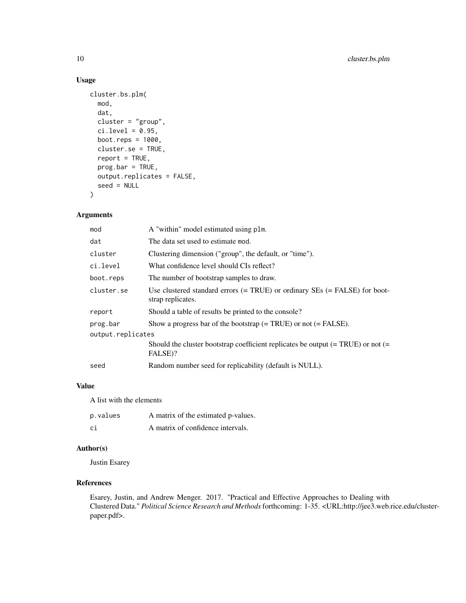#### Usage

```
cluster.bs.plm(
 mod,
  dat,
  cluster = "group",
  ci. level = 0.95,boot.reps = 1000,
  cluster.se = TRUE,
  report = TRUE,prog.bar = TRUE,
 output.replicates = FALSE,
  seed = NULL
\mathcal{L}
```
#### Arguments

| mod               | A "within" model estimated using plm.                                                               |  |  |  |  |  |
|-------------------|-----------------------------------------------------------------------------------------------------|--|--|--|--|--|
| dat               | The data set used to estimate mod.                                                                  |  |  |  |  |  |
| cluster           | Clustering dimension ("group", the default, or "time").                                             |  |  |  |  |  |
| ci.level          | What confidence level should CIs reflect?                                                           |  |  |  |  |  |
| boot.reps         | The number of bootstrap samples to draw.                                                            |  |  |  |  |  |
| cluster.se        | Use clustered standard errors $(= TRUE)$ or ordinary SEs $(= FALSE)$ for boot-<br>strap replicates. |  |  |  |  |  |
| report            | Should a table of results be printed to the console?                                                |  |  |  |  |  |
| prog.bar          | Show a progress bar of the bootstrap $(= TRUE)$ or not $(= FALSE)$ .                                |  |  |  |  |  |
| output.replicates |                                                                                                     |  |  |  |  |  |
|                   | Should the cluster bootstrap coefficient replicates be output $(= TRUE)$ or not $(=$<br>FALSE)?     |  |  |  |  |  |
| seed              | Random number seed for replicability (default is NULL).                                             |  |  |  |  |  |

#### Value

A list with the elements

| p.values | A matrix of the estimated p-values. |
|----------|-------------------------------------|
| сi       | A matrix of confidence intervals.   |

#### Author(s)

Justin Esarey

#### References

Esarey, Justin, and Andrew Menger. 2017. "Practical and Effective Approaches to Dealing with Clustered Data." *Political Science Research and Methods*forthcoming: 1-35. <URL:http://jee3.web.rice.edu/clusterpaper.pdf>.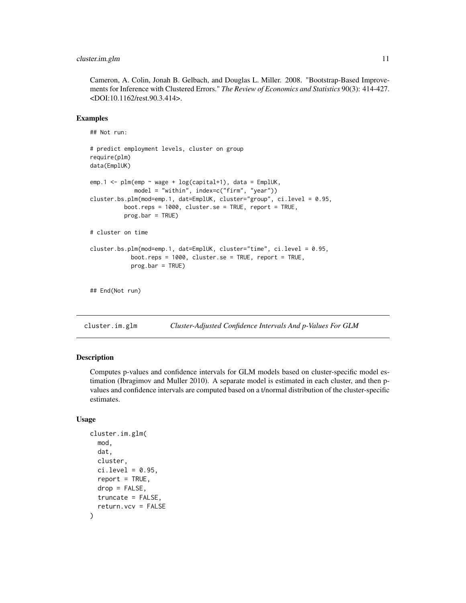#### <span id="page-10-0"></span>cluster.im.glm 11

Cameron, A. Colin, Jonah B. Gelbach, and Douglas L. Miller. 2008. "Bootstrap-Based Improvements for Inference with Clustered Errors." *The Review of Economics and Statistics* 90(3): 414-427. <DOI:10.1162/rest.90.3.414>.

#### Examples

## Not run:

```
# predict employment levels, cluster on group
require(plm)
data(EmplUK)
emp.1 \le plm(emp \sim wage + log(capital+1), data = EmplUK,
             model = "within", index=c("firm", "year"))
cluster.bs.plm(mod=emp.1, dat=EmplUK, cluster="group", ci.level = 0.95,
          boot.reps = 1000, cluster.se = TRUE, report = TRUE,
          progbar = TRUE)
# cluster on time
cluster.bs.plm(mod=emp.1, dat=EmplUK, cluster="time", ci.level = 0.95,
            boot.reps = 1000, cluster.se = TRUE, report = TRUE,
            prog.bar = TRUE)
## End(Not run)
```
cluster.im.glm *Cluster-Adjusted Confidence Intervals And p-Values For GLM*

#### Description

Computes p-values and confidence intervals for GLM models based on cluster-specific model estimation (Ibragimov and Muller 2010). A separate model is estimated in each cluster, and then pvalues and confidence intervals are computed based on a t/normal distribution of the cluster-specific estimates.

#### Usage

```
cluster.im.glm(
  mod,
  dat,
  cluster,
  ci. level = 0.95,
  report = TRUE,drop = FALSE,
  truncate = FALSE,
  return.vcv = FALSE
)
```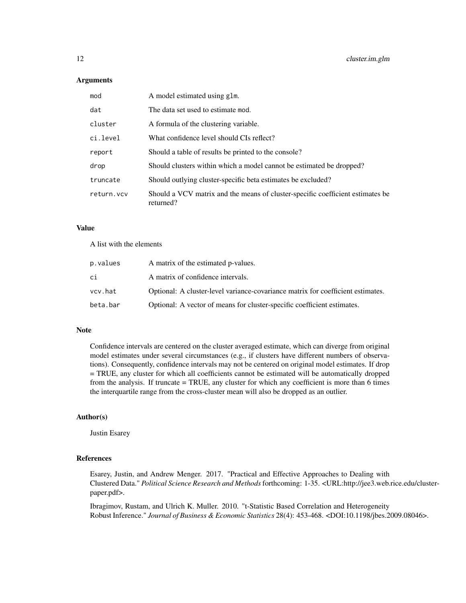#### **Arguments**

| mod        | A model estimated using glm.                                                                |
|------------|---------------------------------------------------------------------------------------------|
| dat        | The data set used to estimate mod.                                                          |
| cluster    | A formula of the clustering variable.                                                       |
| ci.level   | What confidence level should CIs reflect?                                                   |
| report     | Should a table of results be printed to the console?                                        |
| drop       | Should clusters within which a model cannot be estimated be dropped?                        |
| truncate   | Should outlying cluster-specific beta estimates be excluded?                                |
| return.vcv | Should a VCV matrix and the means of cluster-specific coefficient estimates be<br>returned? |

#### Value

A list with the elements

| p.values | A matrix of the estimated p-values.                                             |
|----------|---------------------------------------------------------------------------------|
| сi       | A matrix of confidence intervals.                                               |
| vcv.hat  | Optional: A cluster-level variance-covariance matrix for coefficient estimates. |
| beta.bar | Optional: A vector of means for cluster-specific coefficient estimates.         |

#### Note

Confidence intervals are centered on the cluster averaged estimate, which can diverge from original model estimates under several circumstances (e.g., if clusters have different numbers of observations). Consequently, confidence intervals may not be centered on original model estimates. If drop = TRUE, any cluster for which all coefficients cannot be estimated will be automatically dropped from the analysis. If truncate = TRUE, any cluster for which any coefficient is more than 6 times the interquartile range from the cross-cluster mean will also be dropped as an outlier.

#### Author(s)

Justin Esarey

#### References

Esarey, Justin, and Andrew Menger. 2017. "Practical and Effective Approaches to Dealing with Clustered Data." *Political Science Research and Methods*forthcoming: 1-35. <URL:http://jee3.web.rice.edu/clusterpaper.pdf>.

Ibragimov, Rustam, and Ulrich K. Muller. 2010. "t-Statistic Based Correlation and Heterogeneity Robust Inference." *Journal of Business & Economic Statistics* 28(4): 453-468. <DOI:10.1198/jbes.2009.08046>.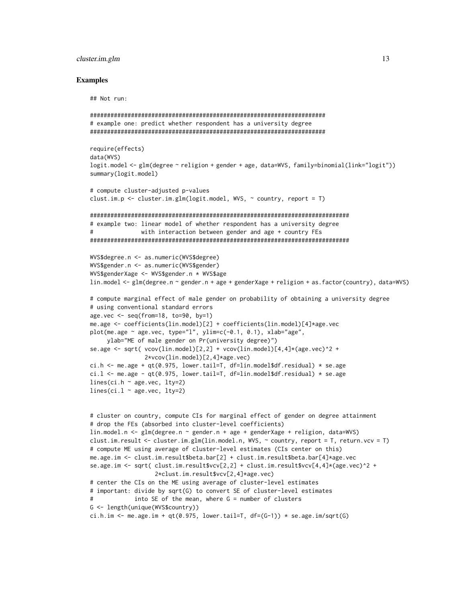#### cluster.im.glm 13

#### Examples

## Not run:

```
#####################################################################
# example one: predict whether respondent has a university degree
#####################################################################
require(effects)
data(WVS)
logit.model <- glm(degree ~ religion + gender + age, data=WVS, family=binomial(link="logit"))
summary(logit.model)
# compute cluster-adjusted p-values
clust.im.p \le cluster.im.glm(logit.model, WVS, \sim country, report = T)
############################################################################
# example two: linear model of whether respondent has a university degree
# with interaction between gender and age + country FEs
############################################################################
WVS$degree.n <- as.numeric(WVS$degree)
WVS$gender.n <- as.numeric(WVS$gender)
WVS$genderXage <- WVS$gender.n * WVS$age
lin.model <- glm(degree.n ~ gender.n + age + genderXage + religion + as.factor(country), data=WVS)
# compute marginal effect of male gender on probability of obtaining a university degree
# using conventional standard errors
age.vec \leq seq(from=18, to=90, by=1)
me.age <- coefficients(lin.model)[2] + coefficients(lin.model)[4]*age.vec
plot(me.age ~ age.vec, type="l", ylim=c(-0.1, 0.1), xlab="age",
     ylab="ME of male gender on Pr(university degree)")
se.age <- sqrt( vcov(lin_model)[2,2] + vcov(lin_model)[4,4]*(age.vec)^2 +2*vcov(lin.model)[2,4]*age.vec)
ci.h \leq me.age + qt(0.975, lower.tail=T, df=lin.model$df.residual) \star se.age
ci.l \le me.age - qt(0.975, lower.tail=T, df=lin.model$df.residual) * se.age
lines(ci.h ~ age.vec, lty=2)
lines(ci.1 ~ ~ age. vec, 1ty=2)# cluster on country, compute CIs for marginal effect of gender on degree attainment
# drop the FEs (absorbed into cluster-level coefficients)
lin.model.n <- glm(degree.n ~ gender.n + age + genderXage + religion, data=WVS)
clust.im.result <- cluster.im.glm(lin.model.n, WVS, ~ country, report = T, return.vcv = T)
# compute ME using average of cluster-level estimates (CIs center on this)
me.age.im <- clust.im.result$beta.bar[2] + clust.im.result$beta.bar[4]*age.vec
se.age.im <- sqrt( clust.im.result$vcv[2,2] + clust.im.result$vcv[4,4]*(age.vec)^2 +
                   2*clust.im.result$vcv[2,4]*age.vec)
# center the CIs on the ME using average of cluster-level estimates
# important: divide by sqrt(G) to convert SE of cluster-level estimates
# into SE of the mean, where G = number of clusters
G <- length(unique(WVS$country))
ci.h.im \leq me.age.im + qt(0.975, lower.tail=T, df=(G-1)) \star se.age.im/sqrt(G)
```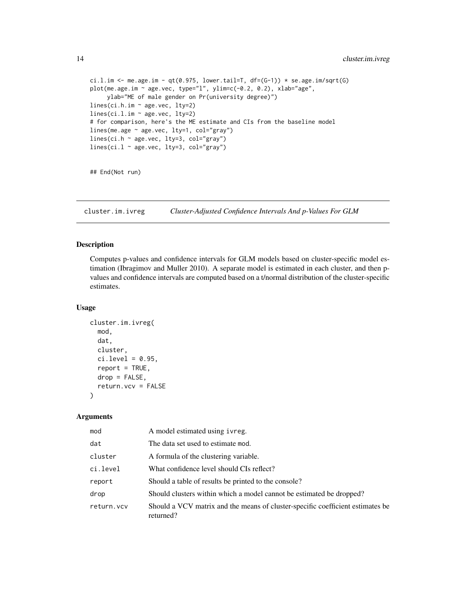```
ci.l.im <- me.age.im - qt(0.975, lower.tail=T, df=(G-1)) * se.age.im/sqrt(G)
plot(me.age.im ~ age.vec, type="l", ylim=c(-0.2, 0.2), xlab="age",
     ylab="ME of male gender on Pr(university degree)")
lines(ci.h.im ~ age.vec, lty=2)
lines(ci.l.im ~ age.vec, lty=2)
# for comparison, here's the ME estimate and CIs from the baseline model
lines(me.age ~ age.vec, lty=1, col="gray")
lines(ci.h ~ age.vec, lty=3, col="gray")
lines(ci.l \sim age.vec, lty=3, col="gray")
```
## End(Not run)

cluster.im.ivreg *Cluster-Adjusted Confidence Intervals And p-Values For GLM*

#### Description

Computes p-values and confidence intervals for GLM models based on cluster-specific model estimation (Ibragimov and Muller 2010). A separate model is estimated in each cluster, and then pvalues and confidence intervals are computed based on a t/normal distribution of the cluster-specific estimates.

#### Usage

```
cluster.im.ivreg(
  mod,
  dat,
  cluster,
  ci. level = 0.95,report = TRUE,drop = FALSE,return.vcv = FALSE
)
```
#### Arguments

| mod        | A model estimated using ivreg.                                                              |
|------------|---------------------------------------------------------------------------------------------|
| dat        | The data set used to estimate mod.                                                          |
| cluster    | A formula of the clustering variable.                                                       |
| ci.level   | What confidence level should CIs reflect?                                                   |
| report     | Should a table of results be printed to the console?                                        |
| drop       | Should clusters within which a model cannot be estimated be dropped?                        |
| return.vcv | Should a VCV matrix and the means of cluster-specific coefficient estimates be<br>returned? |

<span id="page-13-0"></span>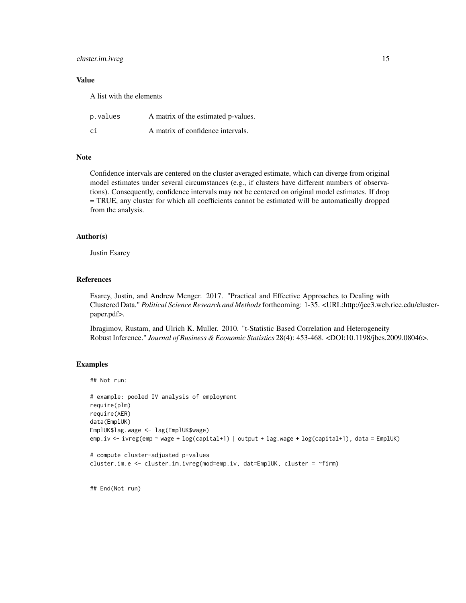#### cluster.im.ivreg 15

#### Value

A list with the elements

| p.values | A matrix of the estimated p-values. |
|----------|-------------------------------------|
| ci       | A matrix of confidence intervals.   |

#### Note

Confidence intervals are centered on the cluster averaged estimate, which can diverge from original model estimates under several circumstances (e.g., if clusters have different numbers of observations). Consequently, confidence intervals may not be centered on original model estimates. If drop = TRUE, any cluster for which all coefficients cannot be estimated will be automatically dropped from the analysis.

#### Author(s)

Justin Esarey

#### References

Esarey, Justin, and Andrew Menger. 2017. "Practical and Effective Approaches to Dealing with Clustered Data." *Political Science Research and Methods*forthcoming: 1-35. <URL:http://jee3.web.rice.edu/clusterpaper.pdf>.

Ibragimov, Rustam, and Ulrich K. Muller. 2010. "t-Statistic Based Correlation and Heterogeneity Robust Inference." *Journal of Business & Economic Statistics* 28(4): 453-468. <DOI:10.1198/jbes.2009.08046>.

#### Examples

```
## Not run:
```

```
# example: pooled IV analysis of employment
require(plm)
require(AER)
data(EmplUK)
EmplUK$lag.wage <- lag(EmplUK$wage)
emp.iv <- ivreg(emp ~ wage + log(capital+1) | output + lag.wage + log(capital+1), data = EmplUK)
```

```
# compute cluster-adjusted p-values
cluster.im.e <- cluster.im.ivreg(mod=emp.iv, dat=EmplUK, cluster = ~firm)
```
## End(Not run)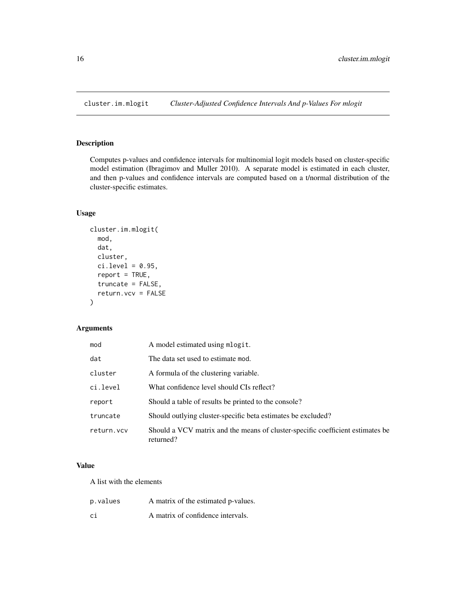<span id="page-15-0"></span>

#### Description

Computes p-values and confidence intervals for multinomial logit models based on cluster-specific model estimation (Ibragimov and Muller 2010). A separate model is estimated in each cluster, and then p-values and confidence intervals are computed based on a t/normal distribution of the cluster-specific estimates.

#### Usage

```
cluster.im.mlogit(
  mod,
  dat,
  cluster,
  ci. level = 0.95,report = TRUE,truncate = FALSE,
  return.vcv = FALSE
\mathcal{L}
```
#### Arguments

| mod        | A model estimated using mlogit.                                                             |
|------------|---------------------------------------------------------------------------------------------|
| dat        | The data set used to estimate mod.                                                          |
| cluster    | A formula of the clustering variable.                                                       |
| ci.level   | What confidence level should CIs reflect?                                                   |
| report     | Should a table of results be printed to the console?                                        |
| truncate   | Should outlying cluster-specific beta estimates be excluded?                                |
| return.vcv | Should a VCV matrix and the means of cluster-specific coefficient estimates be<br>returned? |

#### Value

A list with the elements

| p.values | A matrix of the estimated p-values. |
|----------|-------------------------------------|
| ci       | A matrix of confidence intervals.   |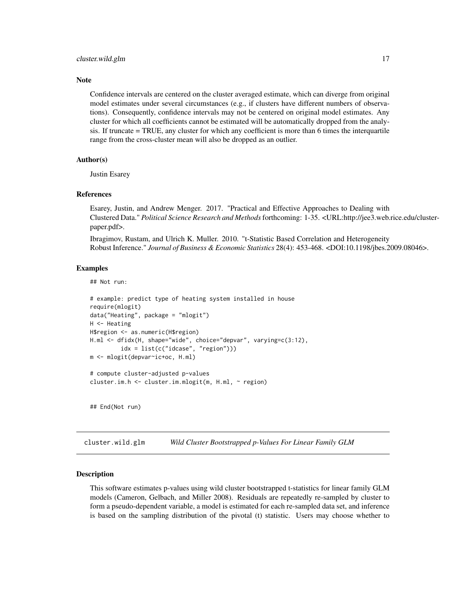#### <span id="page-16-0"></span>**Note**

Confidence intervals are centered on the cluster averaged estimate, which can diverge from original model estimates under several circumstances (e.g., if clusters have different numbers of observations). Consequently, confidence intervals may not be centered on original model estimates. Any cluster for which all coefficients cannot be estimated will be automatically dropped from the analysis. If truncate = TRUE, any cluster for which any coefficient is more than 6 times the interquartile range from the cross-cluster mean will also be dropped as an outlier.

#### Author(s)

Justin Esarey

#### References

Esarey, Justin, and Andrew Menger. 2017. "Practical and Effective Approaches to Dealing with Clustered Data." *Political Science Research and Methods*forthcoming: 1-35. <URL:http://jee3.web.rice.edu/clusterpaper.pdf>.

Ibragimov, Rustam, and Ulrich K. Muller. 2010. "t-Statistic Based Correlation and Heterogeneity Robust Inference." *Journal of Business & Economic Statistics* 28(4): 453-468. <DOI:10.1198/jbes.2009.08046>.

#### Examples

## Not run:

```
# example: predict type of heating system installed in house
require(mlogit)
data("Heating", package = "mlogit")
H <- Heating
H$region <- as.numeric(H$region)
H.ml <- dfidx(H, shape="wide", choice="depvar", varying=c(3:12),
         idx = list(c("idcase", "region")))
m <- mlogit(depvar~ic+oc, H.ml)
# compute cluster-adjusted p-values
cluster.im.h <- cluster.im.mlogit(m, H.ml, ~ region)
```
## End(Not run)

cluster.wild.glm *Wild Cluster Bootstrapped p-Values For Linear Family GLM*

#### Description

This software estimates p-values using wild cluster bootstrapped t-statistics for linear family GLM models (Cameron, Gelbach, and Miller 2008). Residuals are repeatedly re-sampled by cluster to form a pseudo-dependent variable, a model is estimated for each re-sampled data set, and inference is based on the sampling distribution of the pivotal (t) statistic. Users may choose whether to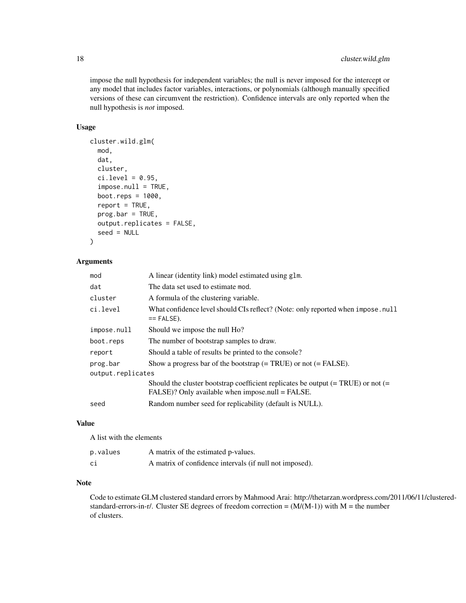impose the null hypothesis for independent variables; the null is never imposed for the intercept or any model that includes factor variables, interactions, or polynomials (although manually specified versions of these can circumvent the restriction). Confidence intervals are only reported when the null hypothesis is *not* imposed.

#### Usage

```
cluster.wild.glm(
  mod,
  dat,
  cluster,
  ci. level = 0.95,imposenull = TRUE,boot.reps = 1000,
  report = TRUE,prog.bar = TRUE,
  output.replicates = FALSE,
  seed = NULL
)
```
#### Arguments

| mod               | A linear (identity link) model estimated using glm.                                                                                      |
|-------------------|------------------------------------------------------------------------------------------------------------------------------------------|
| dat               | The data set used to estimate mod.                                                                                                       |
| cluster           | A formula of the clustering variable.                                                                                                    |
| ci.level          | What confidence level should CIs reflect? (Note: only reported when impose.null<br>$==$ FALSE).                                          |
| impose.null       | Should we impose the null Ho?                                                                                                            |
| boot.reps         | The number of bootstrap samples to draw.                                                                                                 |
| report            | Should a table of results be printed to the console?                                                                                     |
| prog.bar          | Show a progress bar of the bootstrap $(= TRUE)$ or not $(= FALSE)$ .                                                                     |
| output.replicates |                                                                                                                                          |
|                   | Should the cluster bootstrap coefficient replicates be output $(= TRUE)$ or not $(=$<br>FALSE)? Only available when impose.null = FALSE. |
| seed              | Random number seed for replicability (default is NULL).                                                                                  |
|                   |                                                                                                                                          |

#### Value

A list with the elements

| p.values | A matrix of the estimated p-values.                     |
|----------|---------------------------------------------------------|
| сi       | A matrix of confidence intervals (if null not imposed). |

#### Note

Code to estimate GLM clustered standard errors by Mahmood Arai: http://thetarzan.wordpress.com/2011/06/11/clusteredstandard-errors-in-r/. Cluster SE degrees of freedom correction =  $(M/(M-1))$  with M = the number of clusters.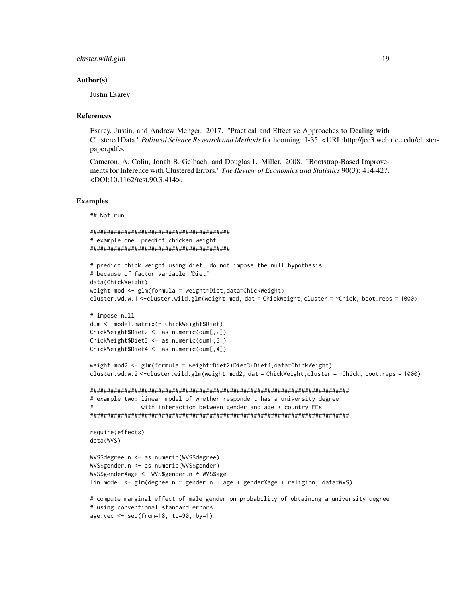#### Author(s)

Justin Esarey

#### References

Esarey, Justin, and Andrew Menger. 2017. "Practical and Effective Approaches to Dealing with Clustered Data." *Political Science Research and Methods*forthcoming: 1-35. <URL:http://jee3.web.rice.edu/clusterpaper.pdf>.

Cameron, A. Colin, Jonah B. Gelbach, and Douglas L. Miller. 2008. "Bootstrap-Based Improvements for Inference with Clustered Errors." *The Review of Economics and Statistics* 90(3): 414-427. <DOI:10.1162/rest.90.3.414>.

#### Examples

## Not run:

```
#########################################
# example one: predict chicken weight
#########################################
# predict chick weight using diet, do not impose the null hypothesis
# because of factor variable "Diet"
data(ChickWeight)
weight.mod <- glm(formula = weight~Diet,data=ChickWeight)
cluster.wd.w.1 <-cluster.wild.glm(weight.mod, dat = ChickWeight,cluster = ~Chick, boot.reps = 1000)
# impose null
dum <- model.matrix(~ ChickWeight$Diet)
ChickWeight$Diet2 <- as.numeric(dum[,2])
ChickWeight$Diet3 <- as.numeric(dum[,3])
ChickWeight$Diet4 <- as.numeric(dum[,4])
weight.mod2 <- glm(formula = weight~Diet2+Diet3+Diet4,data=ChickWeight)
cluster.wd.w.2 <-cluster.wild.glm(weight.mod2, dat = ChickWeight,cluster = ~Chick, boot.reps = 1000)
############################################################################
# example two: linear model of whether respondent has a university degree
# with interaction between gender and age + country FEs
############################################################################
require(effects)
data(WVS)
WVS$degree.n <- as.numeric(WVS$degree)
WVS$gender.n <- as.numeric(WVS$gender)
WVS$genderXage <- WVS$gender.n * WVS$age
lin.model <- glm(degree.n ~ gender.n + age + genderXage + religion, data=WVS)
# compute marginal effect of male gender on probability of obtaining a university degree
# using conventional standard errors
age.vec <- seq(from=18, to=90, by=1)
```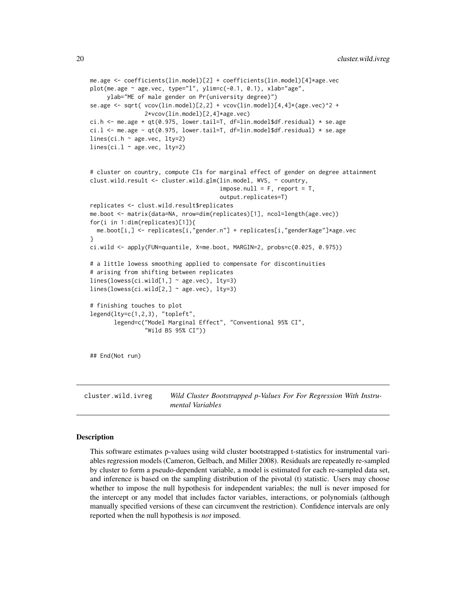```
me.age <- coefficients(lin.model)[2] + coefficients(lin.model)[4]*age.vec
plot(me.age ~ age.vec, type="l", ylim=c(-0.1, 0.1), xlab="age",
     ylab="ME of male gender on Pr(university degree)")
se.age <- sqrt( vcov(\text{lin.model})[2,2] + vcov(\text{lin.model})[4,4] \times (age,vec)^2 +2*vcov(lin.model)[2,4]*age.vec)
ci.h <- me.age + qt(0.975, lower.tail=T, df=lin.model$df.residual) * se.age
ci.l \le me.age - qt(0.975, lower.tail=T, df=lin.model$df.residual) * se.age
lines(ci.h \sim age.vec, lty=2)
lines(ci.l \sim age.vec, lty=2)
# cluster on country, compute CIs for marginal effect of gender on degree attainment
clust.wild.result <- cluster.wild.glm(lin.model, WVS, ~ country,
                                       impose.null = F, report = T,
                                       output.replicates=T)
replicates <- clust.wild.result$replicates
me.boot <- matrix(data=NA, nrow=dim(replicates)[1], ncol=length(age.vec))
for(i in 1:dim(replicates)[1]){
 me.boot[i,] <- replicates[i,"gender.n"] + replicates[i,"genderXage"]*age.vec
}
ci.wild <- apply(FUN=quantile, X=me.boot, MARGIN=2, probs=c(0.025, 0.975))
# a little lowess smoothing applied to compensate for discontinuities
# arising from shifting between replicates
lines(lowess(ci.wild[1,] ~ age.vec), lty=3)
lines(lowess(ci.wild[2,] ~ age.vec), lty=3)
# finishing touches to plot
legend(lty=c(1,2,3), "topleft",
       legend=c("Model Marginal Effect", "Conventional 95% CI",
                "Wild BS 95% CI"))
## End(Not run)
```
cluster.wild.ivreg *Wild Cluster Bootstrapped p-Values For For Regression With Instrumental Variables*

#### **Description**

This software estimates p-values using wild cluster bootstrapped t-statistics for instrumental variables regression models (Cameron, Gelbach, and Miller 2008). Residuals are repeatedly re-sampled by cluster to form a pseudo-dependent variable, a model is estimated for each re-sampled data set, and inference is based on the sampling distribution of the pivotal (t) statistic. Users may choose whether to impose the null hypothesis for independent variables; the null is never imposed for the intercept or any model that includes factor variables, interactions, or polynomials (although manually specified versions of these can circumvent the restriction). Confidence intervals are only reported when the null hypothesis is *not* imposed.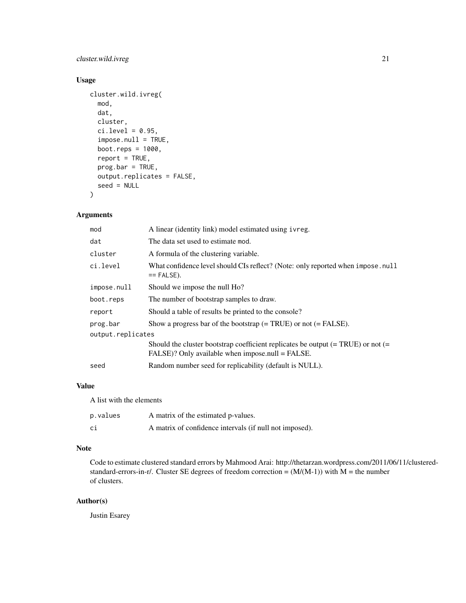#### cluster.wild.ivreg 21

#### Usage

```
cluster.wild.ivreg(
 mod,
  dat,
  cluster,
  ci. level = 0.95,impose.null = TRUE,
  boot.reps = 1000,
  report = TRUE,prog.bar = TRUE,
 output.replicates = FALSE,
  seed = NULL
)
```
#### Arguments

| mod               | A linear (identity link) model estimated using ivreg.                                                                                          |
|-------------------|------------------------------------------------------------------------------------------------------------------------------------------------|
| dat               | The data set used to estimate mod.                                                                                                             |
| cluster           | A formula of the clustering variable.                                                                                                          |
| ci.level          | What confidence level should CIs reflect? (Note: only reported when impose.null<br>$==$ FALSE).                                                |
| impose.null       | Should we impose the null Ho?                                                                                                                  |
| boot.reps         | The number of bootstrap samples to draw.                                                                                                       |
| report            | Should a table of results be printed to the console?                                                                                           |
| prog.bar          | Show a progress bar of the bootstrap $(= TRUE)$ or not $(= FALSE)$ .                                                                           |
| output.replicates |                                                                                                                                                |
|                   | Should the cluster bootstrap coefficient replicates be output $(= TRUE)$ or not $(=$<br>$FALSE$ )? Only available when impose.null = $FALSE$ . |
| seed              | Random number seed for replicability (default is NULL).                                                                                        |

#### Value

A list with the elements

| p.values | A matrix of the estimated p-values.                     |
|----------|---------------------------------------------------------|
| ci       | A matrix of confidence intervals (if null not imposed). |

#### Note

Code to estimate clustered standard errors by Mahmood Arai: http://thetarzan.wordpress.com/2011/06/11/clusteredstandard-errors-in-r/. Cluster SE degrees of freedom correction =  $(M/(M-1))$  with M = the number of clusters.

#### Author(s)

Justin Esarey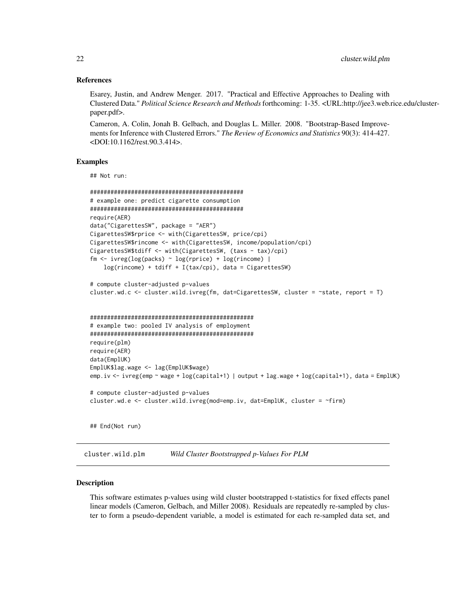#### <span id="page-21-0"></span>References

Esarey, Justin, and Andrew Menger. 2017. "Practical and Effective Approaches to Dealing with Clustered Data." *Political Science Research and Methods*forthcoming: 1-35. <URL:http://jee3.web.rice.edu/clusterpaper.pdf>.

Cameron, A. Colin, Jonah B. Gelbach, and Douglas L. Miller. 2008. "Bootstrap-Based Improvements for Inference with Clustered Errors." *The Review of Economics and Statistics* 90(3): 414-427. <DOI:10.1162/rest.90.3.414>.

#### Examples

## Not run:

```
#############################################
# example one: predict cigarette consumption
#############################################
require(AER)
data("CigarettesSW", package = "AER")
CigarettesSW$rprice <- with(CigarettesSW, price/cpi)
CigarettesSW$rincome <- with(CigarettesSW, income/population/cpi)
CigarettesSW$tdiff <- with(CigarettesSW, (taxs - tax)/cpi)
fm \leftarrow \text{ivreg}(\log(\text{packs}) \sim \log(\text{rprice}) + \log(\text{rincome})log(rincome) + tdiff + I(tax/cpi), data = CigarettesSW)
# compute cluster-adjusted p-values
cluster.wd.c <- cluster.wild.ivreg(fm, dat=CigarettesSW, cluster = ~state, report = T)
################################################
# example two: pooled IV analysis of employment
################################################
require(plm)
require(AER)
data(EmplUK)
EmplUK$lag.wage <- lag(EmplUK$wage)
emp.iv <- ivreg(emp ~ wage + log(capital+1) | output + lag.wage + log(capital+1), data = EmplUK)
# compute cluster-adjusted p-values
cluster.wd.e <- cluster.wild.ivreg(mod=emp.iv, dat=EmplUK, cluster = ~firm)
## End(Not run)
```
cluster.wild.plm *Wild Cluster Bootstrapped p-Values For PLM*

#### **Description**

This software estimates p-values using wild cluster bootstrapped t-statistics for fixed effects panel linear models (Cameron, Gelbach, and Miller 2008). Residuals are repeatedly re-sampled by cluster to form a pseudo-dependent variable, a model is estimated for each re-sampled data set, and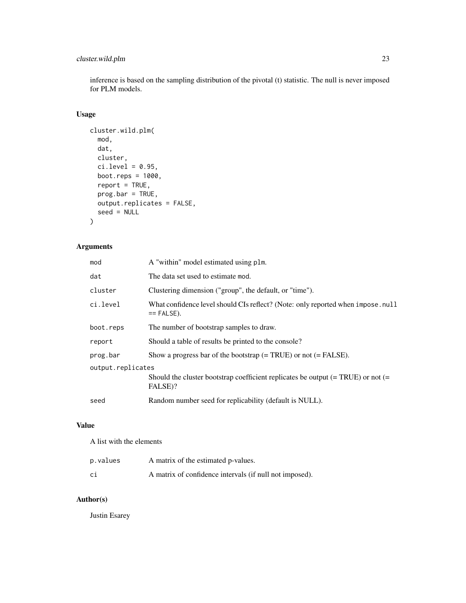#### cluster.wild.plm 23

inference is based on the sampling distribution of the pivotal (t) statistic. The null is never imposed for PLM models.

#### Usage

```
cluster.wild.plm(
 mod,
 dat,
 cluster,
 ci. level = 0.95,boot.reps = 1000,
  report = TRUE,prog.bar = TRUE,
 output.replicates = FALSE,
 seed = NULL
)
```
#### Arguments

| mod               | A "within" model estimated using plm.                                                            |
|-------------------|--------------------------------------------------------------------------------------------------|
| dat               | The data set used to estimate mod.                                                               |
| cluster           | Clustering dimension ("group", the default, or "time").                                          |
| ci.level          | What confidence level should CIs reflect? (Note: only reported when impose. null<br>$==$ FALSE). |
| boot.reps         | The number of bootstrap samples to draw.                                                         |
| report            | Should a table of results be printed to the console?                                             |
| prog.bar          | Show a progress bar of the bootstrap $(= TRUE)$ or not $(= FALSE)$ .                             |
| output.replicates |                                                                                                  |
|                   | Should the cluster bootstrap coefficient replicates be output $(= TRUE)$ or not $(=$<br>FALSE)?  |
| seed              | Random number seed for replicability (default is NULL).                                          |

#### Value

A list with the elements

| p.values | A matrix of the estimated p-values.                     |
|----------|---------------------------------------------------------|
| сi       | A matrix of confidence intervals (if null not imposed). |

#### Author(s)

Justin Esarey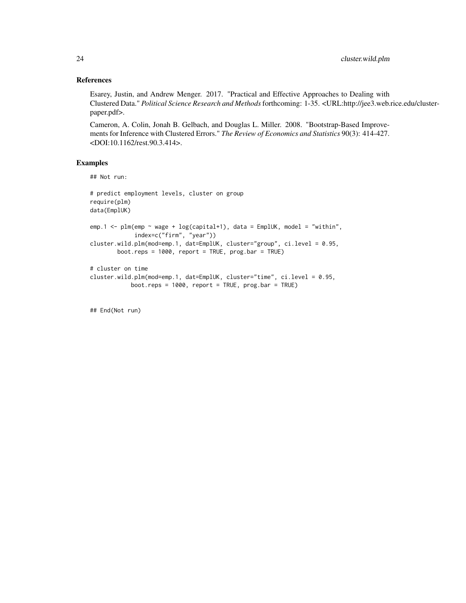#### References

Esarey, Justin, and Andrew Menger. 2017. "Practical and Effective Approaches to Dealing with Clustered Data." *Political Science Research and Methods*forthcoming: 1-35. <URL:http://jee3.web.rice.edu/clusterpaper.pdf>.

Cameron, A. Colin, Jonah B. Gelbach, and Douglas L. Miller. 2008. "Bootstrap-Based Improvements for Inference with Clustered Errors." *The Review of Economics and Statistics* 90(3): 414-427. <DOI:10.1162/rest.90.3.414>.

#### Examples

```
## Not run:
```

```
# predict employment levels, cluster on group
require(plm)
data(EmplUK)
emp.1 <- plm(emp \sim wage + log(capital+1), data = EmplUK, model = "within",
             index=c("firm", "year"))
cluster.wild.plm(mod=emp.1, dat=EmplUK, cluster="group", ci.level = 0.95,
        boot.reps = 1000, report = TRUE, prog.bar = TRUE)
# cluster on time
cluster.wild.plm(mod=emp.1, dat=EmplUK, cluster="time", ci.level = 0.95,
            boot.reps = 1000, report = TRUE, prog.bar = TRUE)
```
## End(Not run)